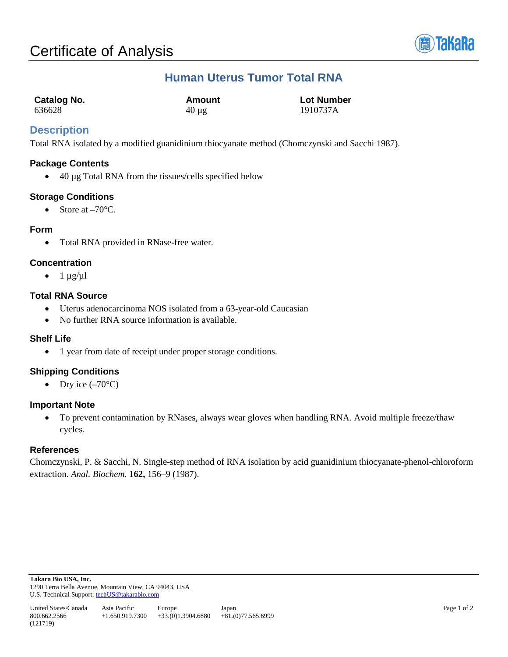

# **Human Uterus Tumor Total RNA**

| Catalog No. | Amount     | <b>Lot Number</b> |
|-------------|------------|-------------------|
| 636628      | $40 \mu$ g | 1910737A          |

## **Description**

Total RNA isolated by a modified guanidinium thiocyanate method (Chomczynski and Sacchi 1987).

#### **Package Contents**

• 40 µg Total RNA from the tissues/cells specified below

#### **Storage Conditions**

• Store at  $-70^{\circ}$ C.

#### **Form**

• Total RNA provided in RNase-free water.

### **Concentration**

 $\bullet$  1  $\mu$ g/ $\mu$ l

#### **Total RNA Source**

- Uterus adenocarcinoma NOS isolated from a 63-year-old Caucasian
- No further RNA source information is available.

#### **Shelf Life**

• 1 year from date of receipt under proper storage conditions.

### **Shipping Conditions**

• Dry ice  $(-70^{\circ}C)$ 

#### **Important Note**

• To prevent contamination by RNases, always wear gloves when handling RNA. Avoid multiple freeze/thaw cycles.

### **References**

Chomczynski, P. & Sacchi, N. Single-step method of RNA isolation by acid guanidinium thiocyanate-phenol-chloroform extraction. *Anal. Biochem.* **162,** 156–9 (1987).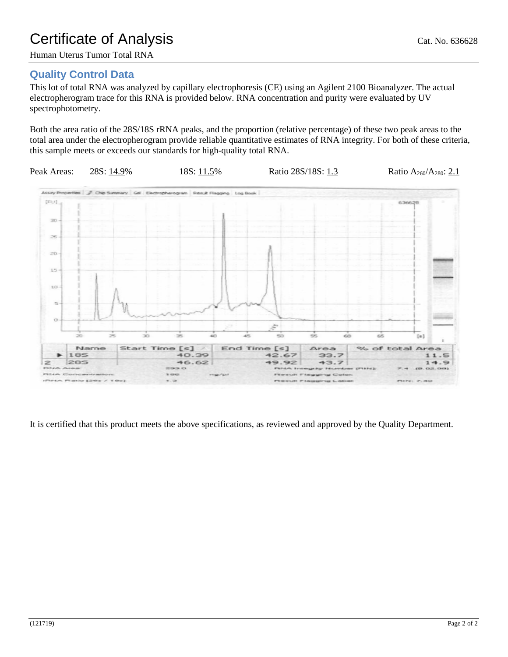# Certificate of Analysis Cat. No. 636628

Human Uterus Tumor Total RNA

# **Quality Control Data**

This lot of total RNA was analyzed by capillary electrophoresis (CE) using an Agilent 2100 Bioanalyzer. The actual electropherogram trace for this RNA is provided below. RNA concentration and purity were evaluated by UV spectrophotometry.

Both the area ratio of the 28S/18S rRNA peaks, and the proportion (relative percentage) of these two peak areas to the total area under the electropherogram provide reliable quantitative estimates of RNA integrity. For both of these criteria, this sample meets or exceeds our standards for high-quality total RNA.



It is certified that this product meets the above specifications, as reviewed and approved by the Quality Department.